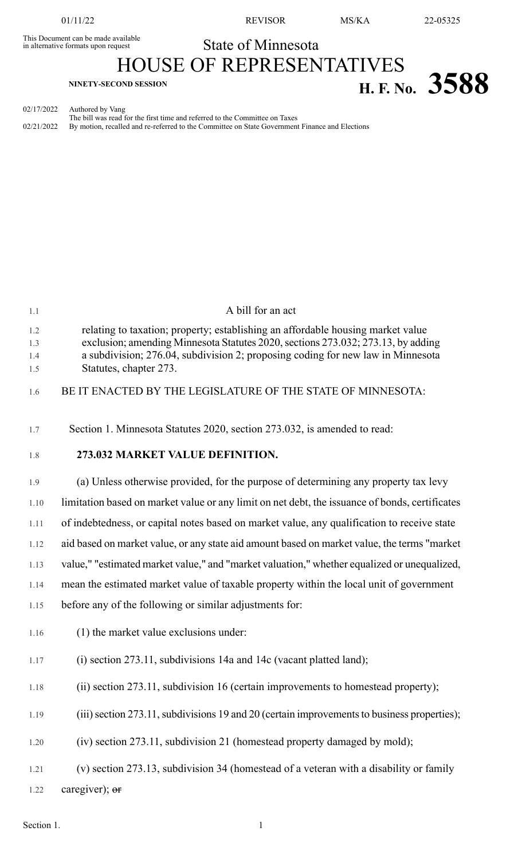This Document can be made available<br>in alternative formats upon request

01/11/22 REVISOR MS/KA 22-05325

State of Minnesota

HOUSE OF REPRESENTATIVES **H. F. NO. 3588 H. F. No. 3588** 

02/17/2022 Authored by Vang

The bill was read for the first time and referred to the Committee on Taxes 02/21/2022 By motion, recalled and re-referred to the Committee on State Government Finance and Elections

| 1.1                      | A bill for an act                                                                                                                                                                                                                                                                |
|--------------------------|----------------------------------------------------------------------------------------------------------------------------------------------------------------------------------------------------------------------------------------------------------------------------------|
| 1.2<br>1.3<br>1.4<br>1.5 | relating to taxation; property; establishing an affordable housing market value<br>exclusion; amending Minnesota Statutes 2020, sections 273.032; 273.13, by adding<br>a subdivision; 276.04, subdivision 2; proposing coding for new law in Minnesota<br>Statutes, chapter 273. |
| 1.6                      | BE IT ENACTED BY THE LEGISLATURE OF THE STATE OF MINNESOTA:                                                                                                                                                                                                                      |
| 1.7                      | Section 1. Minnesota Statutes 2020, section 273.032, is amended to read:                                                                                                                                                                                                         |
| 1.8                      | 273.032 MARKET VALUE DEFINITION.                                                                                                                                                                                                                                                 |
| 1.9                      | (a) Unless otherwise provided, for the purpose of determining any property tax levy                                                                                                                                                                                              |
| 1.10                     | limitation based on market value or any limit on net debt, the issuance of bonds, certificates                                                                                                                                                                                   |
| 1.11                     | of indebtedness, or capital notes based on market value, any qualification to receive state                                                                                                                                                                                      |
| 1.12                     | aid based on market value, or any state aid amount based on market value, the terms "market                                                                                                                                                                                      |
| 1.13                     | value," "estimated market value," and "market valuation," whether equalized or unequalized,                                                                                                                                                                                      |
| 1.14                     | mean the estimated market value of taxable property within the local unit of government                                                                                                                                                                                          |
| 1.15                     | before any of the following or similar adjustments for:                                                                                                                                                                                                                          |
| 1.16                     | (1) the market value exclusions under:                                                                                                                                                                                                                                           |
| 1.17                     | $(i)$ section 273.11, subdivisions 14a and 14c (vacant platted land);                                                                                                                                                                                                            |
| 1.18                     | (ii) section 273.11, subdivision 16 (certain improvements to homestead property);                                                                                                                                                                                                |
| 1.19                     | (iii) section 273.11, subdivisions 19 and 20 (certain improvements to business properties);                                                                                                                                                                                      |
| 1.20                     | (iv) section 273.11, subdivision 21 (homestead property damaged by mold);                                                                                                                                                                                                        |
| 1.21                     | (v) section 273.13, subdivision 34 (homestead of a veteran with a disability or family                                                                                                                                                                                           |
| 1.22                     | caregiver); or                                                                                                                                                                                                                                                                   |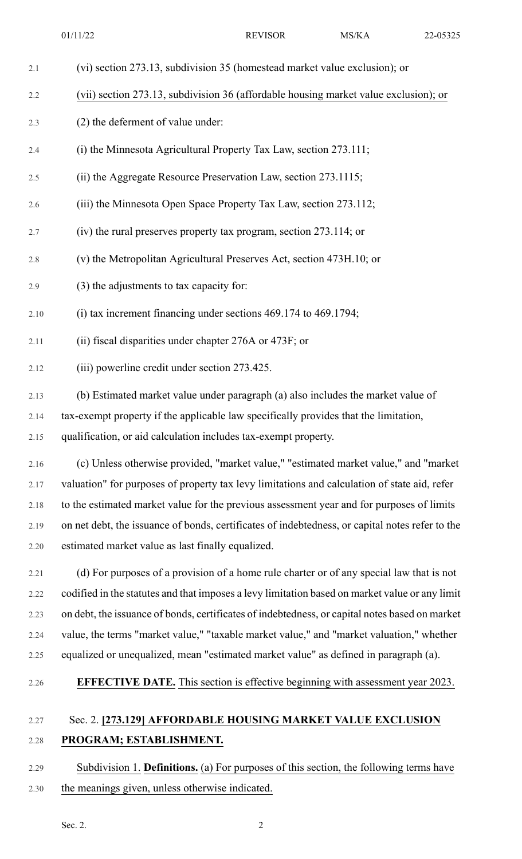| 2.1  | (vi) section 273.13, subdivision 35 (homestead market value exclusion); or                      |
|------|-------------------------------------------------------------------------------------------------|
| 2.2  | (vii) section 273.13, subdivision 36 (affordable housing market value exclusion); or            |
| 2.3  | (2) the deferment of value under:                                                               |
| 2.4  | (i) the Minnesota Agricultural Property Tax Law, section 273.111;                               |
| 2.5  | (ii) the Aggregate Resource Preservation Law, section 273.1115;                                 |
| 2.6  | (iii) the Minnesota Open Space Property Tax Law, section 273.112;                               |
| 2.7  | (iv) the rural preserves property tax program, section 273.114; or                              |
| 2.8  | (v) the Metropolitan Agricultural Preserves Act, section 473H.10; or                            |
| 2.9  | (3) the adjustments to tax capacity for:                                                        |
| 2.10 | $(i)$ tax increment financing under sections 469.174 to 469.1794;                               |
| 2.11 | (ii) fiscal disparities under chapter 276A or 473F; or                                          |
| 2.12 | (iii) powerline credit under section 273.425.                                                   |
| 2.13 | (b) Estimated market value under paragraph (a) also includes the market value of                |
| 2.14 | tax-exempt property if the applicable law specifically provides that the limitation,            |
| 2.15 | qualification, or aid calculation includes tax-exempt property.                                 |
| 2.16 | (c) Unless otherwise provided, "market value," "estimated market value," and "market"           |
| 2.17 | valuation" for purposes of property tax levy limitations and calculation of state aid, refer    |
| 2.18 | to the estimated market value for the previous assessment year and for purposes of limits       |
| 2.19 | on net debt, the issuance of bonds, certificates of indebtedness, or capital notes refer to the |
| 2.20 | estimated market value as last finally equalized.                                               |
| 2.21 | (d) For purposes of a provision of a home rule charter or of any special law that is not        |
| 2.22 | codified in the statutes and that imposes a levy limitation based on market value or any limit  |
| 2.23 | on debt, the issuance of bonds, certificates of indebtedness, or capital notes based on market  |

2.25 equalized or unequalized, mean "estimated market value" as defined in paragraph (a).

2.24 value, the terms "market value," "taxable market value," and "market valuation," whether

2.26 **EFFECTIVE DATE.** This section is effective beginning with assessment year 2023.

## 2.27 Sec. 2. **[273.129] AFFORDABLE HOUSING MARKET VALUE EXCLUSION** 2.28 **PROGRAM; ESTABLISHMENT.**

2.29 Subdivision 1. **Definitions.** (a) For purposes of this section, the following terms have 2.30 the meanings given, unless otherwise indicated.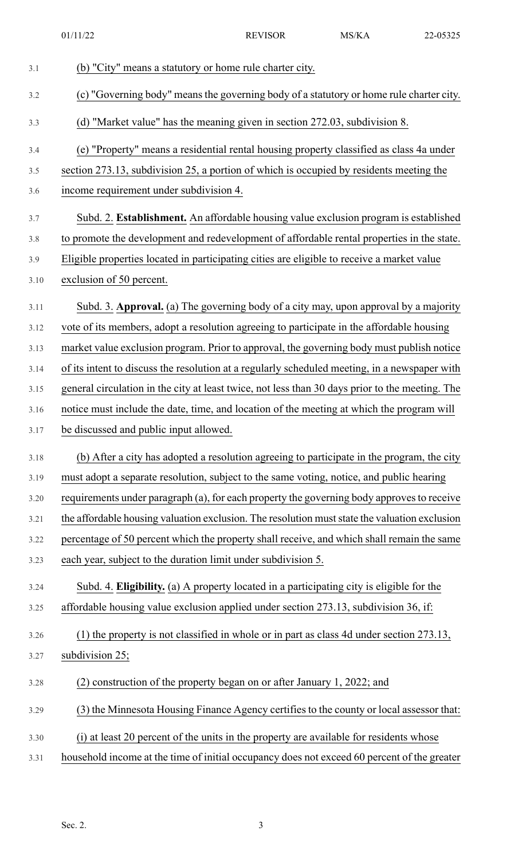01/11/22 REVISOR MS/KA 22-05325

| 3.1  | (b) "City" means a statutory or home rule charter city.                                         |
|------|-------------------------------------------------------------------------------------------------|
| 3.2  | (c) "Governing body" means the governing body of a statutory or home rule charter city.         |
| 3.3  | (d) "Market value" has the meaning given in section 272.03, subdivision 8.                      |
| 3.4  | (e) "Property" means a residential rental housing property classified as class 4a under         |
| 3.5  | section 273.13, subdivision 25, a portion of which is occupied by residents meeting the         |
| 3.6  | income requirement under subdivision 4.                                                         |
| 3.7  | Subd. 2. Establishment. An affordable housing value exclusion program is established            |
| 3.8  | to promote the development and redevelopment of affordable rental properties in the state.      |
| 3.9  | Eligible properties located in participating cities are eligible to receive a market value      |
| 3.10 | exclusion of 50 percent.                                                                        |
| 3.11 | Subd. 3. Approval. (a) The governing body of a city may, upon approval by a majority            |
| 3.12 | vote of its members, adopt a resolution agreeing to participate in the affordable housing       |
| 3.13 | market value exclusion program. Prior to approval, the governing body must publish notice       |
| 3.14 | of its intent to discuss the resolution at a regularly scheduled meeting, in a newspaper with   |
| 3.15 | general circulation in the city at least twice, not less than 30 days prior to the meeting. The |
| 3.16 | notice must include the date, time, and location of the meeting at which the program will       |
| 3.17 | be discussed and public input allowed.                                                          |
| 3.18 | (b) After a city has adopted a resolution agreeing to participate in the program, the city      |
| 3.19 | must adopt a separate resolution, subject to the same voting, notice, and public hearing        |
| 3.20 | requirements under paragraph (a), for each property the governing body approves to receive      |
| 3.21 | the affordable housing valuation exclusion. The resolution must state the valuation exclusion   |
| 3.22 | percentage of 50 percent which the property shall receive, and which shall remain the same      |
| 3.23 | each year, subject to the duration limit under subdivision 5.                                   |
| 3.24 | Subd. 4. Eligibility. (a) A property located in a participating city is eligible for the        |
| 3.25 | affordable housing value exclusion applied under section 273.13, subdivision 36, if:            |
| 3.26 | (1) the property is not classified in whole or in part as class 4d under section 273.13,        |
| 3.27 | subdivision 25;                                                                                 |
| 3.28 | (2) construction of the property began on or after January 1, 2022; and                         |
| 3.29 | (3) the Minnesota Housing Finance Agency certifies to the county or local assessor that:        |
| 3.30 | (i) at least 20 percent of the units in the property are available for residents whose          |
| 3.31 | household income at the time of initial occupancy does not exceed 60 percent of the greater     |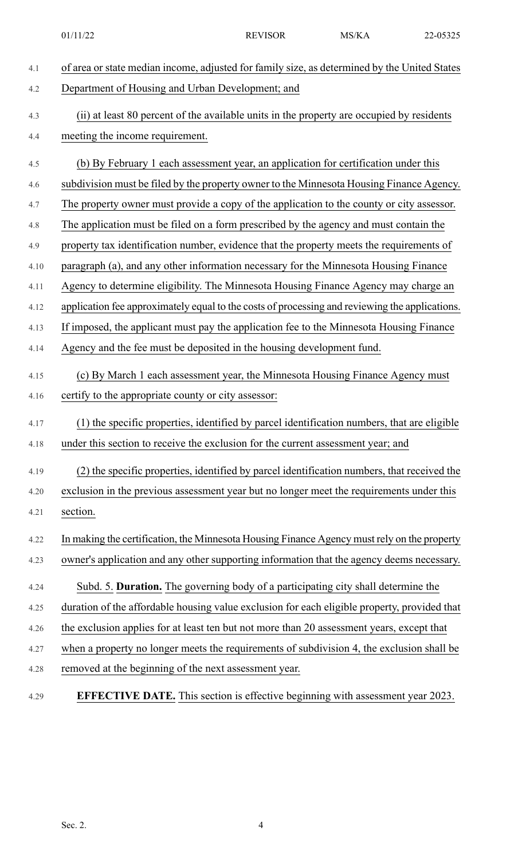| 4.1  | of area or state median income, adjusted for family size, as determined by the United States   |
|------|------------------------------------------------------------------------------------------------|
| 4.2  | Department of Housing and Urban Development; and                                               |
| 4.3  | (ii) at least 80 percent of the available units in the property are occupied by residents      |
| 4.4  | meeting the income requirement.                                                                |
|      |                                                                                                |
| 4.5  | (b) By February 1 each assessment year, an application for certification under this            |
| 4.6  | subdivision must be filed by the property owner to the Minnesota Housing Finance Agency.       |
| 4.7  | The property owner must provide a copy of the application to the county or city assessor.      |
| 4.8  | The application must be filed on a form prescribed by the agency and must contain the          |
| 4.9  | property tax identification number, evidence that the property meets the requirements of       |
| 4.10 | paragraph (a), and any other information necessary for the Minnesota Housing Finance           |
| 4.11 | Agency to determine eligibility. The Minnesota Housing Finance Agency may charge an            |
| 4.12 | application fee approximately equal to the costs of processing and reviewing the applications. |
| 4.13 | If imposed, the applicant must pay the application fee to the Minnesota Housing Finance        |
| 4.14 | Agency and the fee must be deposited in the housing development fund.                          |
| 4.15 | (c) By March 1 each assessment year, the Minnesota Housing Finance Agency must                 |
| 4.16 | certify to the appropriate county or city assessor:                                            |
| 4.17 | (1) the specific properties, identified by parcel identification numbers, that are eligible    |
| 4.18 | under this section to receive the exclusion for the current assessment year; and               |
|      |                                                                                                |
| 4.19 | (2) the specific properties, identified by parcel identification numbers, that received the    |
| 4.20 | exclusion in the previous assessment year but no longer meet the requirements under this       |
| 4.21 | section.                                                                                       |
| 4.22 | In making the certification, the Minnesota Housing Finance Agency must rely on the property    |
| 4.23 | owner's application and any other supporting information that the agency deems necessary.      |
| 4.24 | Subd. 5. Duration. The governing body of a participating city shall determine the              |
| 4.25 | duration of the affordable housing value exclusion for each eligible property, provided that   |
| 4.26 | the exclusion applies for at least ten but not more than 20 assessment years, except that      |
| 4.27 | when a property no longer meets the requirements of subdivision 4, the exclusion shall be      |
| 4.28 | removed at the beginning of the next assessment year.                                          |
|      |                                                                                                |
| 4.29 | EFFECTIVE DATE. This section is effective beginning with assessment year 2023.                 |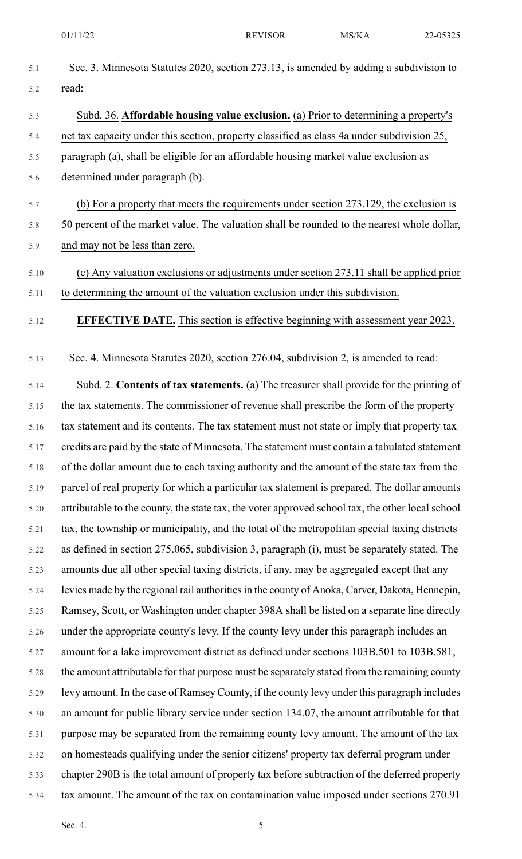| 5.1 | Sec. 3. Minnesota Statutes 2020, section 273.13, is amended by adding a subdivision to     |
|-----|--------------------------------------------------------------------------------------------|
| 5.2 | read:                                                                                      |
| 5.3 | Subd. 36. Affordable housing value exclusion. (a) Prior to determining a property's        |
| 5.4 | net tax capacity under this section, property classified as class 4a under subdivision 25, |
| 5.5 | paragraph (a), shall be eligible for an affordable housing market value exclusion as       |
| 5.6 | determined under paragraph (b).                                                            |
|     |                                                                                            |

- 5.7 (b) For a property that meets the requirements under section 273.129, the exclusion is 5.8 50 percent of the market value. The valuation shall be rounded to the nearest whole dollar, 5.9 and may not be less than zero.
- 5.10 (c) Any valuation exclusions or adjustments under section 273.11 shall be applied prior 5.11 to determining the amount of the valuation exclusion under this subdivision.
- 5.12 **EFFECTIVE DATE.** This section is effective beginning with assessment year 2023.
- 5.13 Sec. 4. Minnesota Statutes 2020, section 276.04, subdivision 2, is amended to read:
- 5.14 Subd. 2. **Contents of tax statements.** (a) The treasurer shall provide for the printing of 5.15 the tax statements. The commissioner of revenue shall prescribe the form of the property 5.16 tax statement and its contents. The tax statement must not state or imply that property tax 5.17 credits are paid by the state of Minnesota. The statement must contain a tabulated statement 5.18 of the dollar amount due to each taxing authority and the amount of the state tax from the 5.19 parcel of real property for which a particular tax statement is prepared. The dollar amounts 5.20 attributable to the county, the state tax, the voter approved school tax, the other local school 5.21 tax, the township or municipality, and the total of the metropolitan special taxing districts 5.22 as defined in section 275.065, subdivision 3, paragraph (i), must be separately stated. The 5.23 amounts due all other special taxing districts, if any, may be aggregated except that any 5.24 levies made by the regional rail authoritiesin the county of Anoka, Carver, Dakota, Hennepin, 5.25 Ramsey, Scott, or Washington under chapter 398A shall be listed on a separate line directly 5.26 under the appropriate county's levy. If the county levy under this paragraph includes an 5.27 amount for a lake improvement district as defined under sections 103B.501 to 103B.581, 5.28 the amount attributable for that purpose must be separately stated from the remaining county 5.29 levy amount. In the case of Ramsey County, if the county levy under this paragraph includes 5.30 an amount for public library service under section 134.07, the amount attributable for that 5.31 purpose may be separated from the remaining county levy amount. The amount of the tax 5.32 on homesteads qualifying under the senior citizens' property tax deferral program under 5.33 chapter 290B is the total amount of property tax before subtraction of the deferred property 5.34 tax amount. The amount of the tax on contamination value imposed under sections 270.91